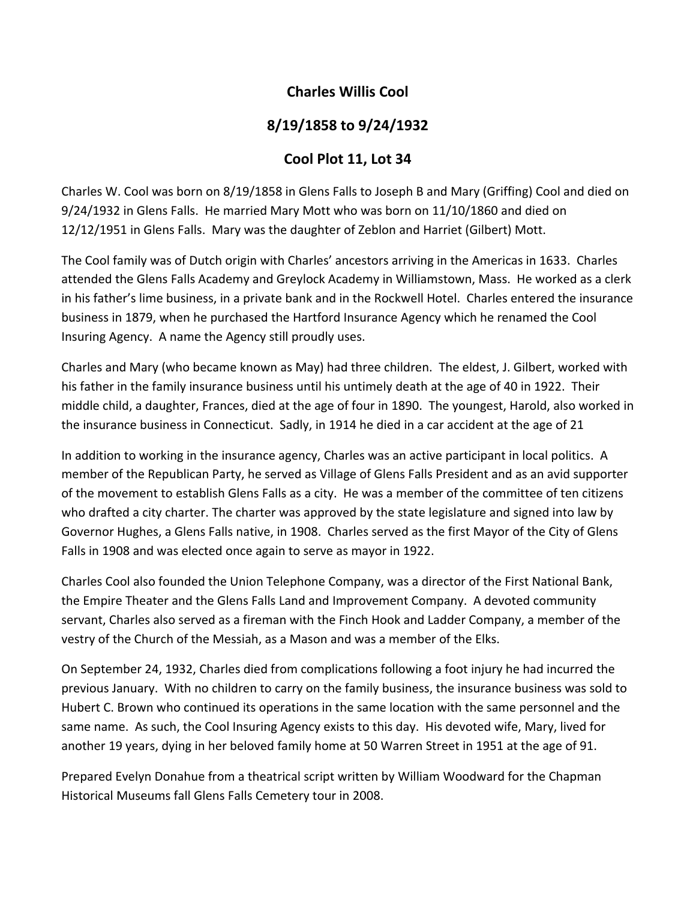## **Charles Willis Cool**

## **8/19/1858 to 9/24/1932**

## **Cool Plot 11, Lot 34**

Charles W. Cool was born on 8/19/1858 in Glens Falls to Joseph B and Mary (Griffing) Cool and died on 9/24/1932 in Glens Falls. He married Mary Mott who was born on 11/10/1860 and died on 12/12/1951 in Glens Falls. Mary was the daughter of Zeblon and Harriet (Gilbert) Mott.

The Cool family was of Dutch origin with Charles' ancestors arriving in the Americas in 1633. Charles attended the Glens Falls Academy and Greylock Academy in Williamstown, Mass. He worked as a clerk in his father's lime business, in a private bank and in the Rockwell Hotel. Charles entered the insurance business in 1879, when he purchased the Hartford Insurance Agency which he renamed the Cool Insuring Agency. A name the Agency still proudly uses.

Charles and Mary (who became known as May) had three children. The eldest, J. Gilbert, worked with his father in the family insurance business until his untimely death at the age of 40 in 1922. Their middle child, a daughter, Frances, died at the age of four in 1890. The youngest, Harold, also worked in the insurance business in Connecticut. Sadly, in 1914 he died in a car accident at the age of 21

In addition to working in the insurance agency, Charles was an active participant in local politics. A member of the Republican Party, he served as Village of Glens Falls President and as an avid supporter of the movement to establish Glens Falls as a city. He was a member of the committee of ten citizens who drafted a city charter. The charter was approved by the state legislature and signed into law by Governor Hughes, a Glens Falls native, in 1908. Charles served as the first Mayor of the City of Glens Falls in 1908 and was elected once again to serve as mayor in 1922.

Charles Cool also founded the Union Telephone Company, was a director of the First National Bank, the Empire Theater and the Glens Falls Land and Improvement Company. A devoted community servant, Charles also served as a fireman with the Finch Hook and Ladder Company, a member of the vestry of the Church of the Messiah, as a Mason and was a member of the Elks.

On September 24, 1932, Charles died from complications following a foot injury he had incurred the previous January. With no children to carry on the family business, the insurance business was sold to Hubert C. Brown who continued its operations in the same location with the same personnel and the same name. As such, the Cool Insuring Agency exists to this day. His devoted wife, Mary, lived for another 19 years, dying in her beloved family home at 50 Warren Street in 1951 at the age of 91.

Prepared Evelyn Donahue from a theatrical script written by William Woodward for the Chapman Historical Museums fall Glens Falls Cemetery tour in 2008.